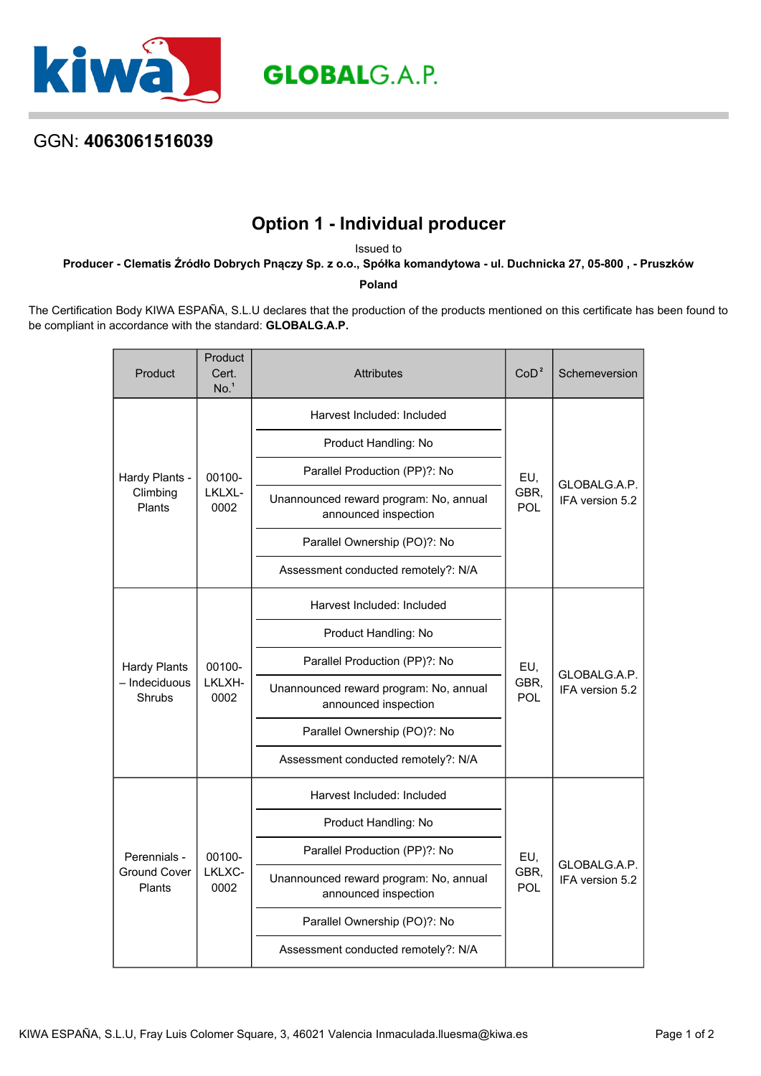

## GGN: **4063061516039**

## **Option 1 - Individual producer**

Issued to

**Producer - Clematis Źródło Dobrych Pnączy Sp. z o.o., Spółka komandytowa - ul. Duchnicka 27, 05-800 , - Pruszków**

**Poland**

The Certification Body KIWA ESPAÑA, S.L.U declares that the production of the products mentioned on this certificate has been found to be compliant in accordance with the standard: **GLOBALG.A.P.**

| Product                                              | Product<br>Cert.<br>No. <sup>1</sup> | <b>Attributes</b>                                              | CoD <sup>2</sup>          | Schemeversion                   |
|------------------------------------------------------|--------------------------------------|----------------------------------------------------------------|---------------------------|---------------------------------|
| Hardy Plants -<br>Climbing<br>Plants                 | 00100-<br>LKLXL-<br>0002             | Harvest Included: Included                                     | EU,<br>GBR,<br>POL        | GLOBALG.A.P.<br>IFA version 5.2 |
|                                                      |                                      | Product Handling: No                                           |                           |                                 |
|                                                      |                                      | Parallel Production (PP)?: No                                  |                           |                                 |
|                                                      |                                      | Unannounced reward program: No, annual<br>announced inspection |                           |                                 |
|                                                      |                                      | Parallel Ownership (PO)?: No                                   |                           |                                 |
|                                                      |                                      | Assessment conducted remotely?: N/A                            |                           |                                 |
| <b>Hardy Plants</b><br>- Indeciduous<br>Shrubs       | 00100-<br>LKLXH-<br>0002             | Harvest Included: Included                                     | EU,<br>GBR,<br><b>POL</b> | GLOBALG.A.P.<br>IFA version 5.2 |
|                                                      |                                      | Product Handling: No                                           |                           |                                 |
|                                                      |                                      | Parallel Production (PP)?: No                                  |                           |                                 |
|                                                      |                                      | Unannounced reward program: No, annual<br>announced inspection |                           |                                 |
|                                                      |                                      | Parallel Ownership (PO)?: No                                   |                           |                                 |
|                                                      |                                      | Assessment conducted remotely?: N/A                            |                           |                                 |
| Perennials -<br><b>Ground Cover</b><br><b>Plants</b> | 00100-<br>LKLXC-<br>0002             | Harvest Included: Included                                     | EU,<br>GBR,<br><b>POL</b> | GLOBALG.A.P.<br>IFA version 5.2 |
|                                                      |                                      | Product Handling: No                                           |                           |                                 |
|                                                      |                                      | Parallel Production (PP)?: No                                  |                           |                                 |
|                                                      |                                      | Unannounced reward program: No, annual<br>announced inspection |                           |                                 |
|                                                      |                                      | Parallel Ownership (PO)?: No                                   |                           |                                 |
|                                                      |                                      | Assessment conducted remotely?: N/A                            |                           |                                 |